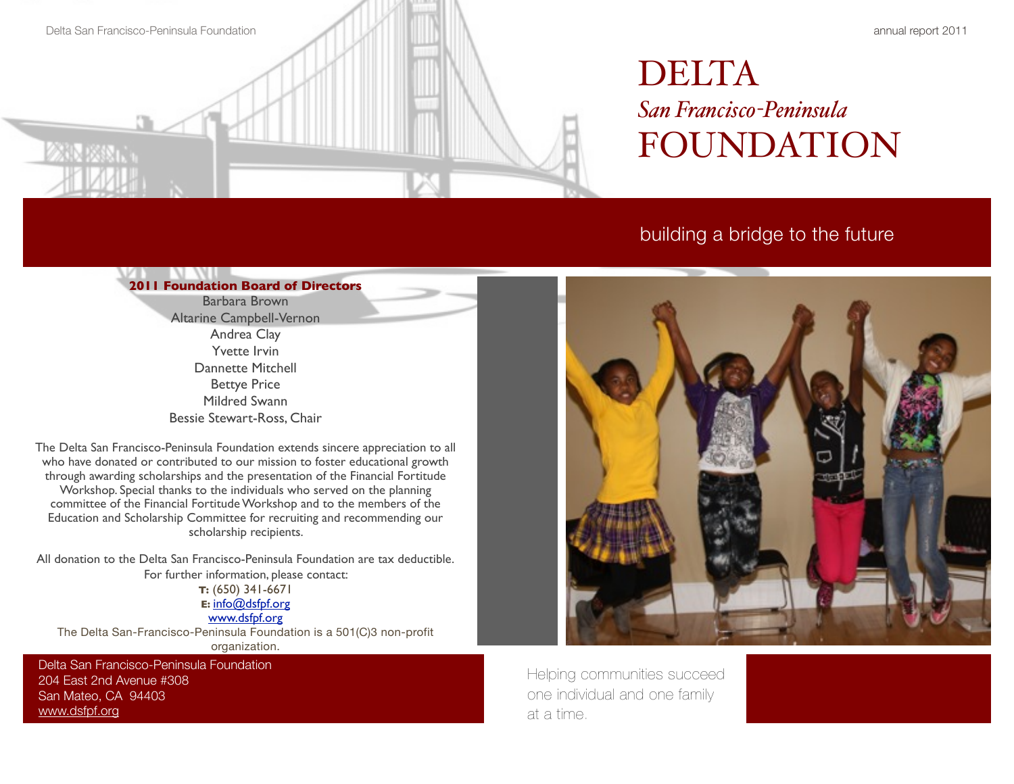

# DELTA *San Francisco-Peninsula*  FOUNDATION

## building a bridge to the future

## **2011 Foundation Board of Directors**

Barbara Brown Altarine Campbell-Vernon Andrea Clay Yvette Irvin Dannette Mitchell Bettye Price Mildred Swann Bessie Stewart-Ross, Chair

The Delta San Francisco-Peninsula Foundation extends sincere appreciation to all who have donated or contributed to our mission to foster educational growth through awarding scholarships and the presentation of the Financial Fortitude Workshop. Special thanks to the individuals who served on the planning committee of the Financial Fortitude Workshop and to the members of the Education and Scholarship Committee for recruiting and recommending our scholarship recipients.

All donation to the Delta San Francisco-Peninsula Foundation are tax deductible. For further information, please contact:

### **T:** (650) 341-6671 **E:** [info@dsfpf.org](mailto:info@dsfpf.org)

### [www.dsfpf.org](http://www.dsfpf.org)

The Delta San-Francisco-Peninsula Foundation is a 501(C)3 non-profit organization.

Delta San Francisco-Peninsula Foundation 204 East 2nd Avenue #308 San Mateo, CA 94403 [www.dsfpf.org](http://www.dsfpf.org)



Helping communities succeed one individual and one family at a time.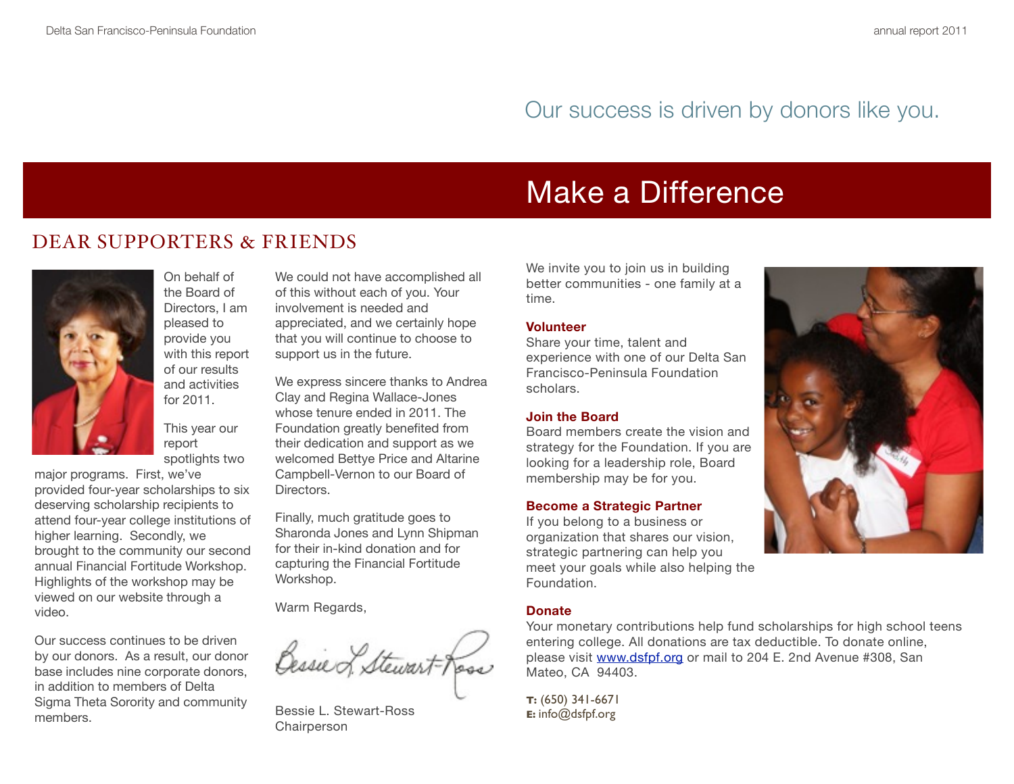## Our success is driven by donors like you.

# Make a Difference

## DEAR SUPPORTERS & FRIENDS



On behalf of the Board of Directors, I am pleased to provide you with this report of our results and activities for 2011.

This year our report spotlights two

major programs. First, we've provided four-year scholarships to six deserving scholarship recipients to attend four-year college institutions of higher learning. Secondly, we brought to the community our second annual Financial Fortitude Workshop. Highlights of the workshop may be viewed on our website through a video.

Our success continues to be driven by our donors. As a result, our donor base includes nine corporate donors, in addition to members of Delta Sigma Theta Sorority and community members.

We could not have accomplished all of this without each of you. Your involvement is needed and appreciated, and we certainly hope that you will continue to choose to support us in the future.

We express sincere thanks to Andrea Clay and Regina Wallace-Jones whose tenure ended in 2011. The Foundation greatly benefited from their dedication and support as we welcomed Bettye Price and Altarine Campbell-Vernon to our Board of Directors.

Finally, much gratitude goes to Sharonda Jones and Lynn Shipman for their in-kind donation and for capturing the Financial Fortitude Workshop.

Warm Regards,

Bessie of Stewart-Rose

Bessie L. Stewart-Ross Chairperson

We invite you to join us in building better communities - one family at a time.

### **Volunteer**

Share your time, talent and experience with one of our Delta San Francisco-Peninsula Foundation scholars.

### **Join the Board**

Board members create the vision and strategy for the Foundation. If you are looking for a leadership role, Board membership may be for you.

### **Become a Strategic Partner**

If you belong to a business or organization that shares our vision, strategic partnering can help you meet your goals while also helping the Foundation.

### **Donate**

Your monetary contributions help fund scholarships for high school teens entering college. All donations are tax deductible. To donate online, please visit [www.dsfpf.org](http://www.dsfpf.org) or mail to 204 E. 2nd Avenue #308, San Mateo, CA 94403.

**T:** (650) 341-6671 **E:** info@dsfpf.org

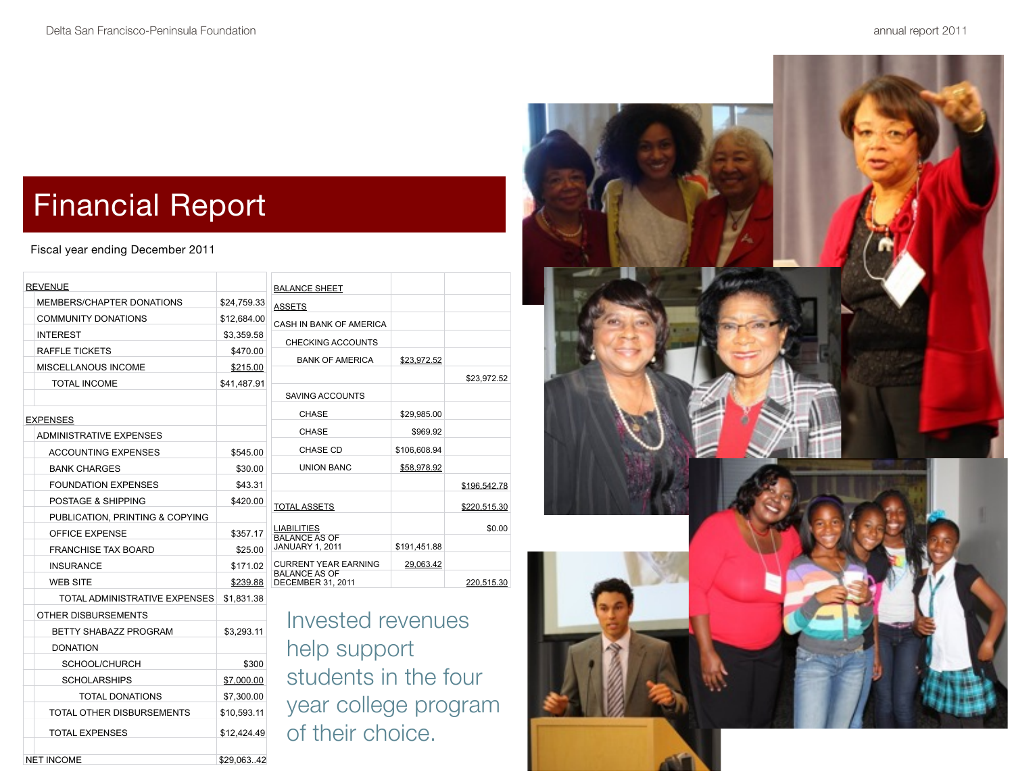# Financial Report

NET INCOME \$29,063..42

Fiscal year ending December 2011

| <b>REVENUE</b> |                                  |             | <b>BALANCE SHEET</b>                                |           |
|----------------|----------------------------------|-------------|-----------------------------------------------------|-----------|
|                | MEMBERS/CHAPTER DONATIONS        | \$24,759.33 | <b>ASSETS</b>                                       |           |
|                | <b>COMMUNITY DONATIONS</b>       | \$12,684.00 | CASH IN BANK OF AMERICA                             |           |
|                | <b>INTEREST</b>                  | \$3,359.58  | <b>CHECKING ACCOUNTS</b>                            |           |
|                | RAFFLE TICKETS                   | \$470.00    | <b>BANK OF AMERICA</b>                              | \$23.972  |
|                | <b>MISCELLANOUS INCOME</b>       | \$215.00    |                                                     |           |
|                | <b>TOTAL INCOME</b>              | \$41,487.91 |                                                     |           |
|                |                                  |             | <b>SAVING ACCOUNTS</b>                              |           |
|                | <b>EXPENSES</b>                  |             | CHASE                                               | \$29,985  |
|                | <b>ADMINISTRATIVE EXPENSES</b>   |             | <b>CHASE</b>                                        | \$969     |
|                | <b>ACCOUNTING EXPENSES</b>       | \$545.00    | <b>CHASE CD</b>                                     | \$106,608 |
|                | <b>BANK CHARGES</b>              | \$30.00     | <b>UNION BANC</b>                                   | \$58,978  |
|                | <b>FOUNDATION EXPENSES</b>       | \$43.31     |                                                     |           |
|                | <b>POSTAGE &amp; SHIPPING</b>    | \$420.00    | <b>TOTAL ASSETS</b>                                 |           |
|                | PUBLICATION, PRINTING & COPYING  |             |                                                     |           |
|                | <b>OFFICE EXPENSE</b>            | \$357.17    | <b>LIABILITIES</b><br><b>BALANCE AS OF</b>          |           |
|                | <b>FRANCHISE TAX BOARD</b>       | \$25.00     | <b>JANUARY 1, 2011</b>                              | \$191,451 |
|                | <b>INSURANCE</b>                 | \$171.02    | <b>CURRENT YEAR EARNING</b><br><b>BALANCE AS OF</b> | 29,063    |
|                | <b>WEB SITE</b>                  | \$239.88    | DECEMBER 31, 2011                                   |           |
|                | TOTAL ADMINISTRATIVE EXPENSES    | \$1,831.38  |                                                     |           |
|                | OTHER DISBURSEMENTS              |             | <b>Invested reven</b>                               |           |
|                | <b>BETTY SHABAZZ PROGRAM</b>     | \$3.293.11  | help support<br>students in the<br>year college pi  |           |
|                | <b>DONATION</b>                  |             |                                                     |           |
|                | SCHOOL/CHURCH                    | \$300       |                                                     |           |
|                | <b>SCHOLARSHIPS</b>              | \$7,000.00  |                                                     |           |
|                | TOTAL DONATIONS                  | \$7,300.00  |                                                     |           |
|                | <b>TOTAL OTHER DISBURSEMENTS</b> | \$10,593.11 |                                                     |           |
|                | <b>TOTAL EXPENSES</b>            | \$12,424.49 | of their choice                                     |           |

|                | <b>BALANCE SHEET</b>                           |              |              |
|----------------|------------------------------------------------|--------------|--------------|
| 33             | <b>ASSETS</b>                                  |              |              |
| )0             | CASH IN BANK OF AMERICA                        |              |              |
| 8              | <b>CHECKING ACCOUNTS</b>                       |              |              |
| 0<br>0         | <b>BANK OF AMERICA</b>                         | \$23.972.52  |              |
| $\overline{1}$ |                                                |              | \$23,972.52  |
|                | SAVING ACCOUNTS                                |              |              |
|                | CHASE                                          | \$29,985.00  |              |
|                | <b>CHASE</b>                                   | \$969.92     |              |
| 0              | <b>CHASE CD</b>                                | \$106,608.94 |              |
| 0              | <b>UNION BANC</b>                              | \$58.978.92  |              |
| $\mathbf 1$    |                                                |              | \$196,542.78 |
| 0              | <b>TOTAL ASSETS</b>                            |              | \$220,515.30 |
| 7              | <b>LIABILITIES</b>                             |              | \$0.00       |
| 0              | <b>BALANCE AS OF</b><br><b>JANUARY 1, 2011</b> | \$191,451.88 |              |
| 2              | <b>CURRENT YEAR EARNING</b>                    | 29.063.42    |              |
| 8              | <b>BALANCE AS OF</b><br>DECEMBER 31, 2011      |              | 220.515.30   |
|                |                                                |              |              |

lues e four rogram of their choice.

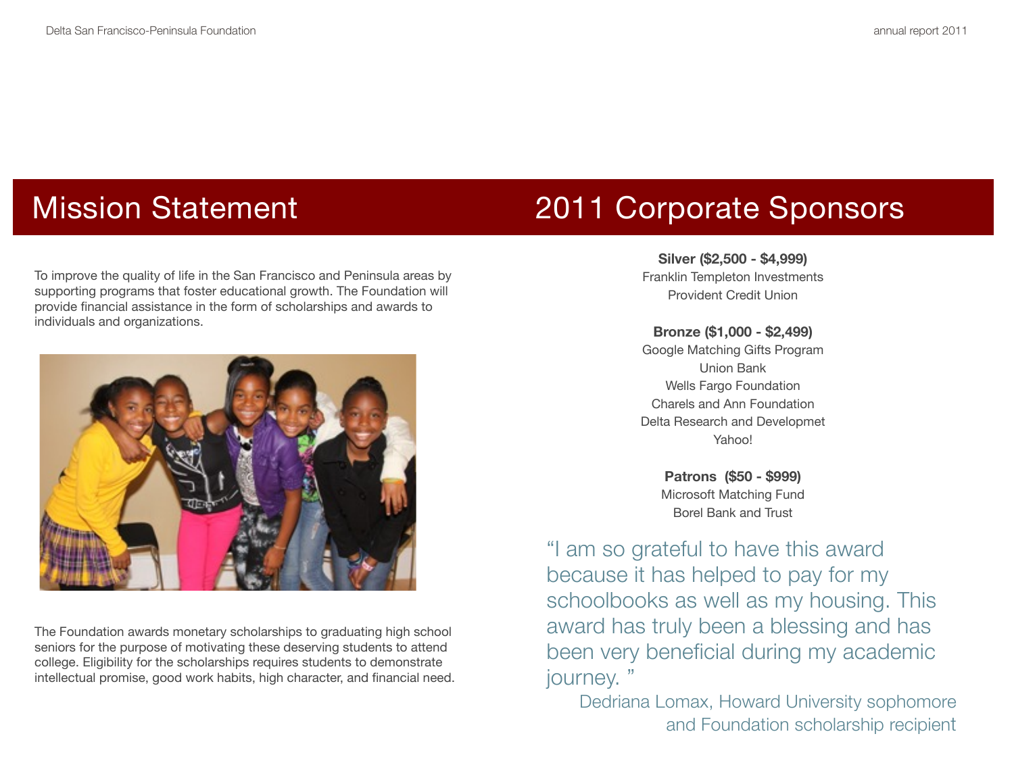To improve the quality of life in the San Francisco and Peninsula areas by supporting programs that foster educational growth. The Foundation will provide financial assistance in the form of scholarships and awards to individuals and organizations.



The Foundation awards monetary scholarships to graduating high school seniors for the purpose of motivating these deserving students to attend college. Eligibility for the scholarships requires students to demonstrate intellectual promise, good work habits, high character, and financial need.

# Mission Statement 2011 Corporate Sponsors

### **Silver (\$2,500 - \$4,999)**

Franklin Templeton Investments Provident Credit Union

### **Bronze (\$1,000 - \$2,499)**

Google Matching Gifts Program Union Bank Wells Fargo Foundation Charels and Ann Foundation Delta Research and Developmet Yahoo!

**Patrons (\$50 - \$999)** Microsoft Matching Fund Borel Bank and Trust

"I am so grateful to have this award because it has helped to pay for my schoolbooks as well as my housing. This award has truly been a blessing and has been very beneficial during my academic journey. "

Dedriana Lomax, Howard University sophomore and Foundation scholarship recipient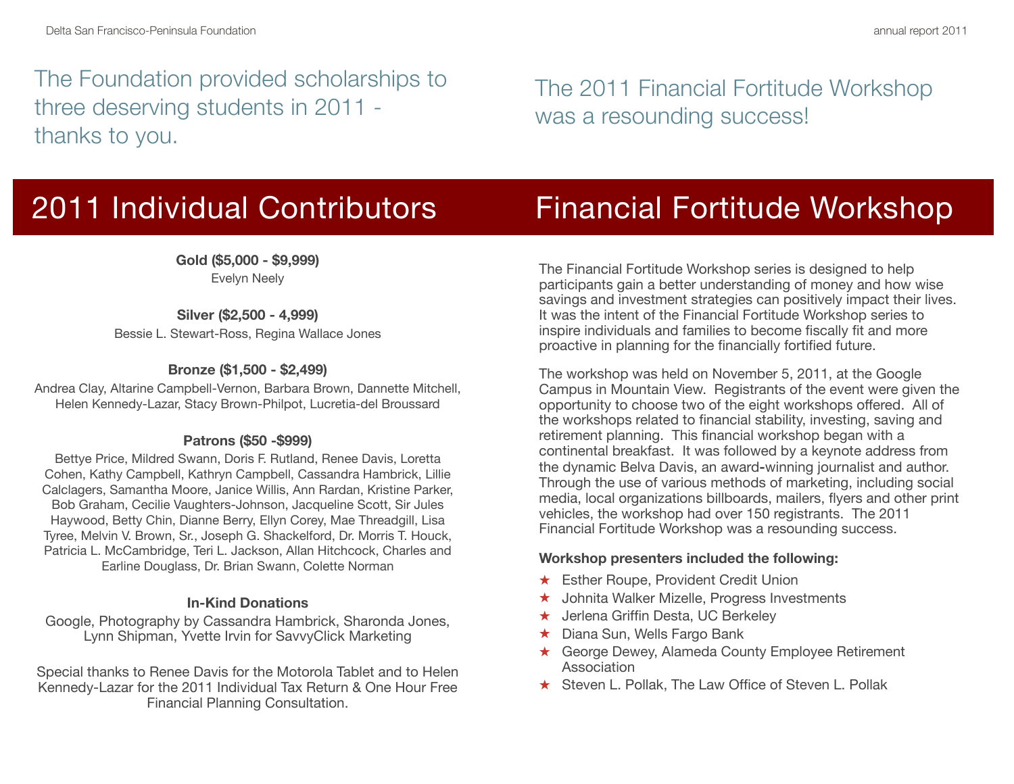The Foundation provided scholarships to three deserving students in 2011 thanks to you.

The 2011 Financial Fortitude Workshop was a resounding success!

**Gold (\$5,000 - \$9,999)** Evelyn Neely

**Silver (\$2,500 - 4,999)** Bessie L. Stewart-Ross, Regina Wallace Jones

### **Bronze (\$1,500 - \$2,499)**

Andrea Clay, Altarine Campbell-Vernon, Barbara Brown, Dannette Mitchell, Helen Kennedy-Lazar, Stacy Brown-Philpot, Lucretia-del Broussard

### **Patrons (\$50 -\$999)**

Bettye Price, Mildred Swann, Doris F. Rutland, Renee Davis, Loretta Cohen, Kathy Campbell, Kathryn Campbell, Cassandra Hambrick, Lillie Calclagers, Samantha Moore, Janice Willis, Ann Rardan, Kristine Parker, Bob Graham, Cecilie Vaughters-Johnson, Jacqueline Scott, Sir Jules Haywood, Betty Chin, Dianne Berry, Ellyn Corey, Mae Threadgill, Lisa Tyree, Melvin V. Brown, Sr., Joseph G. Shackelford, Dr. Morris T. Houck, Patricia L. McCambridge, Teri L. Jackson, Allan Hitchcock, Charles and Earline Douglass, Dr. Brian Swann, Colette Norman

### **In-Kind Donations**

Google, Photography by Cassandra Hambrick, Sharonda Jones, Lynn Shipman, Yvette Irvin for SavvyClick Marketing

Special thanks to Renee Davis for the Motorola Tablet and to Helen Kennedy-Lazar for the 2011 Individual Tax Return & One Hour Free Financial Planning Consultation.

2011 Individual Contributors Financial Fortitude Workshop

The Financial Fortitude Workshop series is designed to help participants gain a better understanding of money and how wise savings and investment strategies can positively impact their lives. It was the intent of the Financial Fortitude Workshop series to inspire individuals and families to become fiscally fit and more proactive in planning for the financially fortified future.

The workshop was held on November 5, 2011, at the Google Campus in Mountain View. Registrants of the event were given the opportunity to choose two of the eight workshops offered. All of the workshops related to financial stability, investing, saving and retirement planning. This financial workshop began with a continental breakfast. It was followed by a keynote address from the dynamic Belva Davis, an award**-**winning journalist and author. Through the use of various methods of marketing, including social media, local organizations billboards, mailers, flyers and other print vehicles, the workshop had over 150 registrants. The 2011 Financial Fortitude Workshop was a resounding success.

### **Workshop presenters included the following:**

- **★ Esther Roupe, Provident Credit Union**
- ★ Johnita Walker Mizelle, Progress Investments
- ★ Jerlena Griffin Desta, UC Berkeley
- ★ Diana Sun, Wells Fargo Bank
- ★ George Dewey, Alameda County Employee Retirement Association
- ★ Steven L. Pollak, The Law Office of Steven L. Pollak